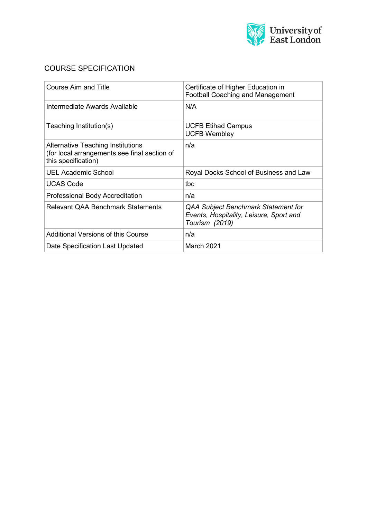

# COURSE SPECIFICATION

| Course Aim and Title                                                                                     | Certificate of Higher Education in<br><b>Football Coaching and Management</b>                    |  |  |
|----------------------------------------------------------------------------------------------------------|--------------------------------------------------------------------------------------------------|--|--|
| Intermediate Awards Available                                                                            | N/A                                                                                              |  |  |
| Teaching Institution(s)                                                                                  | <b>UCFB Etihad Campus</b><br><b>UCFB Wembley</b>                                                 |  |  |
| Alternative Teaching Institutions<br>(for local arrangements see final section of<br>this specification) | n/a                                                                                              |  |  |
| <b>UEL Academic School</b>                                                                               | Royal Docks School of Business and Law                                                           |  |  |
| <b>UCAS Code</b>                                                                                         | tbc                                                                                              |  |  |
| <b>Professional Body Accreditation</b>                                                                   | n/a                                                                                              |  |  |
| <b>Relevant QAA Benchmark Statements</b>                                                                 | QAA Subject Benchmark Statement for<br>Events, Hospitality, Leisure, Sport and<br>Tourism (2019) |  |  |
| <b>Additional Versions of this Course</b>                                                                | n/a                                                                                              |  |  |
| Date Specification Last Updated                                                                          | March 2021                                                                                       |  |  |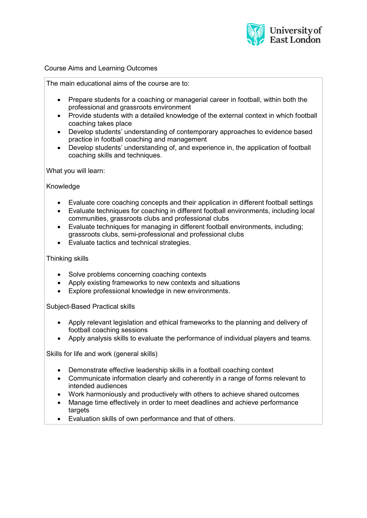

## Course Aims and Learning Outcomes

The main educational aims of the course are to:

- Prepare students for a coaching or managerial career in football, within both the professional and grassroots environment
- Provide students with a detailed knowledge of the external context in which football coaching takes place
- Develop students' understanding of contemporary approaches to evidence based practice in football coaching and management
- Develop students' understanding of, and experience in, the application of football coaching skills and techniques.

What you will learn:

**Knowledge** 

- Evaluate core coaching concepts and their application in different football settings
- Evaluate techniques for coaching in different football environments, including local communities, grassroots clubs and professional clubs
- Evaluate techniques for managing in different football environments, including; grassroots clubs, semi-professional and professional clubs
- Evaluate tactics and technical strategies.

### Thinking skills

- Solve problems concerning coaching contexts
- Apply existing frameworks to new contexts and situations
- Explore professional knowledge in new environments.

Subject-Based Practical skills

- Apply relevant legislation and ethical frameworks to the planning and delivery of football coaching sessions
- Apply analysis skills to evaluate the performance of individual players and teams.

Skills for life and work (general skills)

- Demonstrate effective leadership skills in a football coaching context
- Communicate information clearly and coherently in a range of forms relevant to intended audiences
- Work harmoniously and productively with others to achieve shared outcomes
- Manage time effectively in order to meet deadlines and achieve performance targets
- Evaluation skills of own performance and that of others.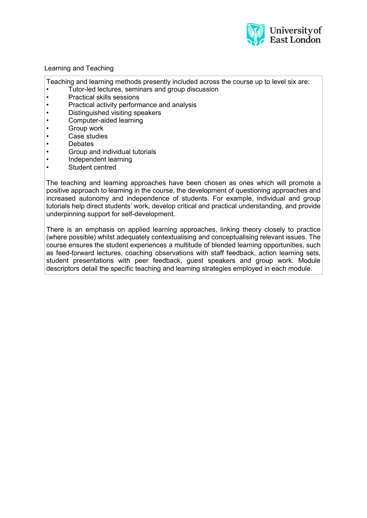

## Learning and Teaching

Teaching and learning methods presently included across the course up to level six are:

- Tutor-led lectures, seminars and group discussion
- Practical skills sessions
- Practical activity performance and analysis
- Distinguished visiting speakers
- Computer-aided learning
- **Group work**
- Case studies
- Debates
- Group and individual tutorials
- Independent learning
- Student centred

The teaching and learning approaches have been chosen as ones which will promote a positive approach to learning in the course, the development of questioning approaches and increased autonomy and independence of students. For example, individual and group tutorials help direct students' work, develop critical and practical understanding, and provide underpinning support for self-development.

There is an emphasis on applied learning approaches, linking theory closely to practice (where possible) whilst adequately contextualising and conceptualising relevant issues. The course ensures the student experiences a multitude of blended learning opportunities, such as feed-forward lectures, coaching observations with staff feedback, action learning sets, student presentations with peer feedback, guest speakers and group work. Module descriptors detail the specific teaching and learning strategies employed in each module.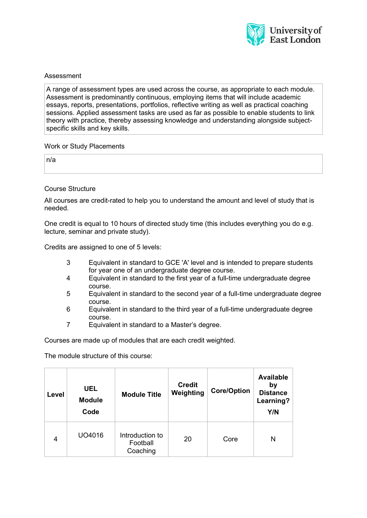

## Assessment

A range of assessment types are used across the course, as appropriate to each module. Assessment is predominantly continuous, employing items that will include academic essays, reports, presentations, portfolios, reflective writing as well as practical coaching sessions. Applied assessment tasks are used as far as possible to enable students to link theory with practice, thereby assessing knowledge and understanding alongside subjectspecific skills and key skills.

### Work or Study Placements

n/a

### Course Structure

All courses are credit-rated to help you to understand the amount and level of study that is needed.

One credit is equal to 10 hours of directed study time (this includes everything you do e.g. lecture, seminar and private study).

Credits are assigned to one of 5 levels:

- 3 Equivalent in standard to GCE 'A' level and is intended to prepare students for year one of an undergraduate degree course.
- 4 Equivalent in standard to the first year of a full-time undergraduate degree course.
- 5 Equivalent in standard to the second year of a full-time undergraduate degree course.
- 6 Equivalent in standard to the third year of a full-time undergraduate degree course.
- 7 Equivalent in standard to a Master's degree.

Courses are made up of modules that are each credit weighted.

The module structure of this course:

| Level | <b>UEL</b><br><b>Module</b><br>Code | <b>Module Title</b>                     | <b>Credit</b><br>Weighting | <b>Core/Option</b> | <b>Available</b><br>by<br><b>Distance</b><br>Learning?<br>Y/N |
|-------|-------------------------------------|-----------------------------------------|----------------------------|--------------------|---------------------------------------------------------------|
| 4     | UO4016                              | Introduction to<br>Football<br>Coaching | 20                         | Core               | N                                                             |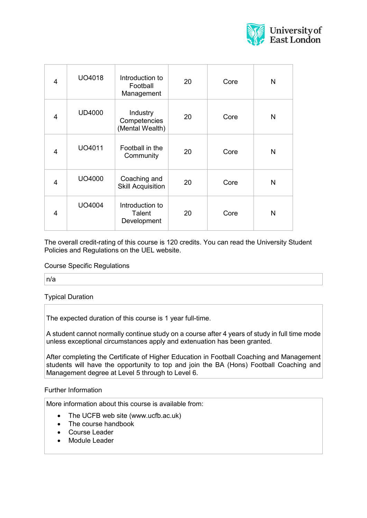

| $\overline{4}$ | UO4018        | Introduction to<br>Football<br>Management   | 20 | Core | N |
|----------------|---------------|---------------------------------------------|----|------|---|
| 4              | <b>UD4000</b> | Industry<br>Competencies<br>(Mental Wealth) | 20 | Core | N |
| 4              | UO4011        | Football in the<br>Community                | 20 | Core | N |
| 4              | UO4000        | Coaching and<br><b>Skill Acquisition</b>    | 20 | Core | N |
| 4              | UO4004        | Introduction to<br>Talent<br>Development    | 20 | Core | N |

The overall credit-rating of this course is 120 credits. You can read the University Student Policies and Regulations on the UEL website.

#### Course Specific Regulations

n/a

## Typical Duration

The expected duration of this course is 1 year full-time.

A student cannot normally continue study on a course after 4 years of study in full time mode unless exceptional circumstances apply and extenuation has been granted.

After completing the Certificate of Higher Education in Football Coaching and Management students will have the opportunity to top and join the BA (Hons) Football Coaching and Management degree at Level 5 through to Level 6.

#### Further Information

More information about this course is available from:

- The UCFB web site (www.ucfb.ac.uk)
- The course handbook
- Course Leader
- Module Leader